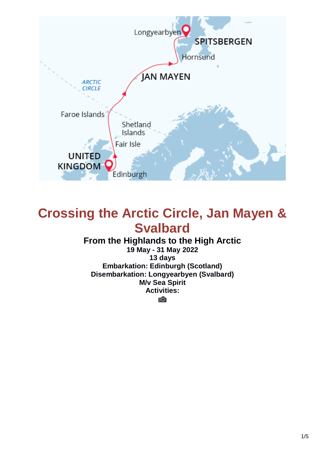

# **Crossing the Arctic Circle, Jan Mayen & Svalbard**

### **From the Highlands to the High Arctic**

**19 May - 31 May 2022 13 days Embarkation: Edinburgh (Scotland) Disembarkation: Longyearbyen (Svalbard) M/v Sea Spirit Activities:**

īО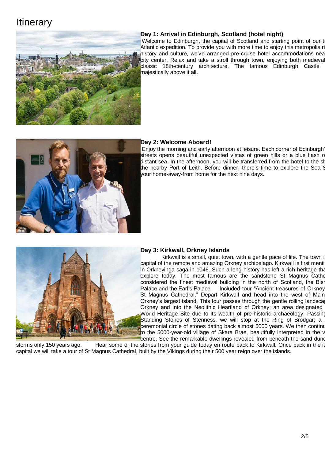## **Itinerary**



#### **Day 1: Arrival in Edinburgh, Scotland (hotel night)**

Welcome to Edinburgh, the capital of Scotland and starting point of our t Atlantic expedition. To provide you with more time to enjoy this metropolis ri history and culture, we've arranged pre-cruise hotel accommodations nea city center. Relax and take a stroll through town, enjoying both medieval classic 18th-century architecture. The famous Edinburgh Castle majestically above it all.



#### **Day 2: Welcome Aboard!**

Enjoy the morning and early afternoon at leisure. Each corner of Edinburgh' streets opens beautiful unexpected vistas of green hills or a blue flash of distant sea. In the afternoon, you will be transferred from the hotel to the sh the nearby Port of Leith. Before dinner, there's time to explore the Sea S your home-away-from home for the next nine days.



#### **Day 3: Kirkwall, Orkney Islands**

Kirkwall is a small, quiet town, with a gentle pace of life. The town is capital of the remote and amazing Orkney archipelago. Kirkwall is first menti in Orkneyinga saga in 1046. Such a long history has left a rich heritage that explore today. The most famous are the sandstone St Magnus Cathe considered the finest medieval building in the north of Scotland, the Bish Palace and the Earl's Palace. Included tour "Ancient treasures of Orkney St Magnus Cathedral." Depart Kirkwall and head into the west of Main Orkney's largest island. This tour passes through the gentle rolling landsca Orkney and into the Neolithic Heartland of Orkney; an area designated World Heritage Site due to its wealth of pre-historic archaeology. Passing Standing Stones of Stenness, we will stop at the Ring of Brodgar; a ceremonial circle of stones dating back almost 5000 years. We then continu to the 5000-year-old village of Skara Brae, beautifully interpreted in the v centre. See the remarkable dwellings revealed from beneath the sand dune

storms only 150 years ago. Hear some of the stories from your guide today en route back to Kirkwall. Once back in the is capital we will take a tour of St Magnus Cathedral, built by the Vikings during their 500 year reign over the islands.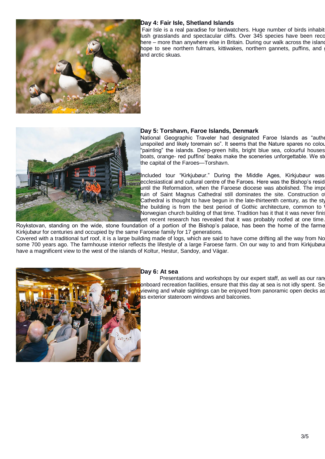

#### **Day 4: Fair Isle, Shetland Islands**

Fair Isle is a real paradise for birdwatchers. Huge number of birds inhabit lush grasslands and spectacular cliffs. Over 345 species have been reco here – more than anywhere else in Britain. During our walk across the island hope to see northern fulmars, kittiwakes, northern gannets, puffins, and and arctic skuas.



#### **Day 5: Torshavn, Faroe Islands, Denmark**

National Geographic Traveler had designated Faroe Islands as "authentic, unspoiled and likely toremain so". It seems that the Nature spares no colour "painting" the islands. Deep-green hills, bright blue sea, colourful houses boats, orange- red puffins' beaks make the sceneries unforgettable. We sto the capital of the Faroes—Torshavn.

Included tour "Kirkjubøur." During the Middle Ages, Kirkjubøur was ecclesiastical and cultural centre of the Faroes. Here was the Bishop's residence until the Reformation, when the Faroese diocese was abolished. The impo ruin of Saint Magnus Cathedral still dominates the site. Construction of Cathedral is thought to have begun in the late-thirteenth century, as the sty the building is from the best period of Gothic architecture, common to Norwegian church building of that time. Tradition has it that it was never finis yet recent research has revealed that it was probably roofed at one time.

Roykstovan, standing on the wide, stone foundation of a portion of the Bishop's palace, has been the home of the farme Kirkjubøur for centuries and occupied by the same Faroese family for 17 generations. Covered with a traditional turf roof, it is a large building made of logs, which are said to have come drifting all the way from No some 700 years ago. The farmhouse interior reflects the lifestyle of a large Faroese farm. On our way to and from Kirkjubøu have a magnificent view to the west of the islands of Koltur, Hestur, Sandoy, and Vágar.



#### **Day 6: At sea**

Presentations and workshops by our expert staff, as well as our ran onboard recreation facilities, ensure that this day at sea is not idly spent. Se viewing and whale sightings can be enjoyed from panoramic open decks as as exterior stateroom windows and balconies.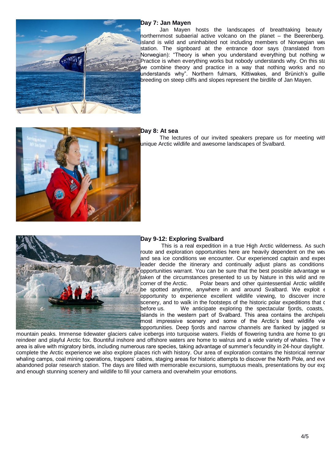

#### **Day 7: Jan Mayen**

Jan Mayen hosts the landscapes of breathtaking beauty northernmost subaerial active volcano on the planet – the Beerenberg. island is wild and uninhabited not including members of Norwegian weather station. The signboard at the entrance door says (translated from Norwegian): "Theory is when you understand everything but nothing w Practice is when everything works but nobody understands why. On this station, we combine theory and practice in a way that nothing works and no understands why". Northern fulmars, Kittiwakes, and Brünich's guille breeding on steep cliffs and slopes represent the birdlife of Jan Mayen.



#### **Day 8: At sea**

The lectures of our invited speakers prepare us for meeting with unique Arctic wildlife and awesome landscapes of Svalbard.



#### **Day 9-12: Exploring Svalbard**

This is a real expedition in a true High Arctic wilderness. As such route and exploration opportunities here are heavily dependent on the weather and sea ice conditions we encounter. Our experienced captain and exped leader decide the itinerary and continually adjust plans as conditions opportunities warrant. You can be sure that the best possible advantage w taken of the circumstances presented to us by Nature in this wild and re corner of the Arctic. Polar bears and other quintessential Arctic wildlife be spotted anytime, anywhere in and around Svalbard. We exploit e opportunity to experience excellent wildlife viewing, to discover incre scenery, and to walk in the footsteps of the historic polar expeditions that o before us. We anticipate exploring the spectacular fjords, coasts, islands in the western part of Svalbard. This area contains the archipela most impressive scenery and some of the Arctic's best wildlife vie opportunities. Deep fjords and narrow channels are flanked by jagged so

mountain peaks. Immense tidewater glaciers calve icebergs into turquoise waters. Fields of flowering tundra are home to gra reindeer and playful Arctic fox. Bountiful inshore and offshore waters are home to walrus and a wide variety of whales. The v area is alive with migratory birds, including numerous rare species, taking advantage of summer's fecundity in 24-hour daylight. complete the Arctic experience we also explore places rich with history. Our area of exploration contains the historical remnar whaling camps, coal mining operations, trappers' cabins, staging areas for historic attempts to discover the North Pole, and eve abandoned polar research station. The days are filled with memorable excursions, sumptuous meals, presentations by our exp and enough stunning scenery and wildlife to fill your camera and overwhelm your emotions.